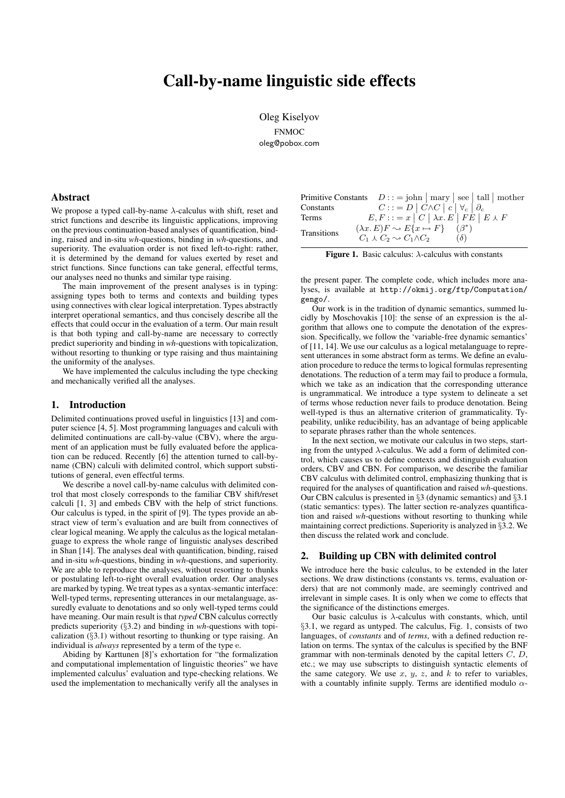# Call-by-name linguistic side effects

Oleg Kiselyov FNMOC oleg@pobox.com

### Abstract

We propose a typed call-by-name  $\lambda$ -calculus with shift, reset and strict functions and describe its linguistic applications, improving on the previous continuation-based analyses of quantification, binding, raised and in-situ *wh*-questions, binding in *wh*-questions, and superiority. The evaluation order is not fixed left-to-right: rather, it is determined by the demand for values exerted by reset and strict functions. Since functions can take general, effectful terms, our analyses need no thunks and similar type raising.

The main improvement of the present analyses is in typing: assigning types both to terms and contexts and building types using connectives with clear logical interpretation. Types abstractly interpret operational semantics, and thus concisely describe all the effects that could occur in the evaluation of a term. Our main result is that both typing and call-by-name are necessary to correctly predict superiority and binding in *wh*-questions with topicalization, without resorting to thunking or type raising and thus maintaining the uniformity of the analyses.

We have implemented the calculus including the type checking and mechanically verified all the analyses.

### 1. Introduction

Delimited continuations proved useful in linguistics [13] and computer science [4, 5]. Most programming languages and calculi with delimited continuations are call-by-value (CBV), where the argument of an application must be fully evaluated before the application can be reduced. Recently [6] the attention turned to call-byname (CBN) calculi with delimited control, which support substitutions of general, even effectful terms.

We describe a novel call-by-name calculus with delimited control that most closely corresponds to the familiar CBV shift/reset calculi [1, 3] and embeds CBV with the help of strict functions. Our calculus is typed, in the spirit of [9]. The types provide an abstract view of term's evaluation and are built from connectives of clear logical meaning. We apply the calculus as the logical metalanguage to express the whole range of linguistic analyses described in Shan [14]. The analyses deal with quantification, binding, raised and in-situ *wh*-questions, binding in *wh*-questions, and superiority. We are able to reproduce the analyses, without resorting to thunks or postulating left-to-right overall evaluation order. Our analyses are marked by typing. We treat types as a syntax-semantic interface: Well-typed terms, representing utterances in our metalanguage, assuredly evaluate to denotations and so only well-typed terms could have meaning. Our main result is that *typed* CBN calculus correctly predicts superiority (§3.2) and binding in *wh*-questions with topicalization  $(\S 3.1)$  without resorting to thunking or type raising. An individual is *always* represented by a term of the type e.

Abiding by Karttunen [8]'s exhortation for "the formalization and computational implementation of linguistic theories" we have implemented calculus' evaluation and type-checking relations. We used the implementation to mechanically verify all the analyses in

| Primitive Constants $D ::= \text{John} \mid \text{mary} \mid \text{see} \mid \text{tall} \mid \text{mother}$ |                                                                                         |  |                           |  |
|--------------------------------------------------------------------------------------------------------------|-----------------------------------------------------------------------------------------|--|---------------------------|--|
| Constants                                                                                                    | $C ::= D   C \wedge C   c   \forall_c   \partial_c$                                     |  |                           |  |
| Terms                                                                                                        | $E, F ::= x   C   \lambda x. E   F E   E \lambda F$                                     |  |                           |  |
| <b>Transitions</b>                                                                                           | $(\lambda x. E) F \sim E\{x \mapsto F\}$<br>$C_1 \wedge C_2 \rightarrow C_1 \wedge C_2$ |  | $(\beta^*)$<br>$(\delta)$ |  |

Figure 1. Basic calculus:  $\lambda$ -calculus with constants

the present paper. The complete code, which includes more analyses, is available at http://okmij.org/ftp/Computation/ gengo/.

Our work is in the tradition of dynamic semantics, summed lucidly by Moschovakis [10]: the sense of an expression is the algorithm that allows one to compute the denotation of the expression. Specifically, we follow the 'variable-free dynamic semantics' of [11, 14]. We use our calculus as a logical metalanguage to represent utterances in some abstract form as terms. We define an evaluation procedure to reduce the terms to logical formulas representing denotations. The reduction of a term may fail to produce a formula, which we take as an indication that the corresponding utterance is ungrammatical. We introduce a type system to delineate a set of terms whose reduction never fails to produce denotation. Being well-typed is thus an alternative criterion of grammaticality. Typeability, unlike reducibility, has an advantage of being applicable to separate phrases rather than the whole sentences.

In the next section, we motivate our calculus in two steps, starting from the untyped  $\lambda$ -calculus. We add a form of delimited control, which causes us to define contexts and distinguish evaluation orders, CBV and CBN. For comparison, we describe the familiar CBV calculus with delimited control, emphasizing thunking that is required for the analyses of quantification and raised *wh*-questions. Our CBN calculus is presented in §3 (dynamic semantics) and §3.1 (static semantics: types). The latter section re-analyzes quantification and raised *wh*-questions without resorting to thunking while maintaining correct predictions. Superiority is analyzed in §3.2. We then discuss the related work and conclude.

### 2. Building up CBN with delimited control

We introduce here the basic calculus, to be extended in the later sections. We draw distinctions (constants vs. terms, evaluation orders) that are not commonly made, are seemingly contrived and irrelevant in simple cases. It is only when we come to effects that the significance of the distinctions emerges.

Our basic calculus is  $\lambda$ -calculus with constants, which, until §3.1, we regard as untyped. The calculus, Fig. 1, consists of two languages, of *constants* and of *terms*, with a defined reduction relation on terms. The syntax of the calculus is specified by the BNF grammar with non-terminals denoted by the capital letters  $C, D$ , etc.; we may use subscripts to distinguish syntactic elements of the same category. We use  $x, y, z$ , and  $k$  to refer to variables, with a countably infinite supply. Terms are identified modulo  $\alpha$ -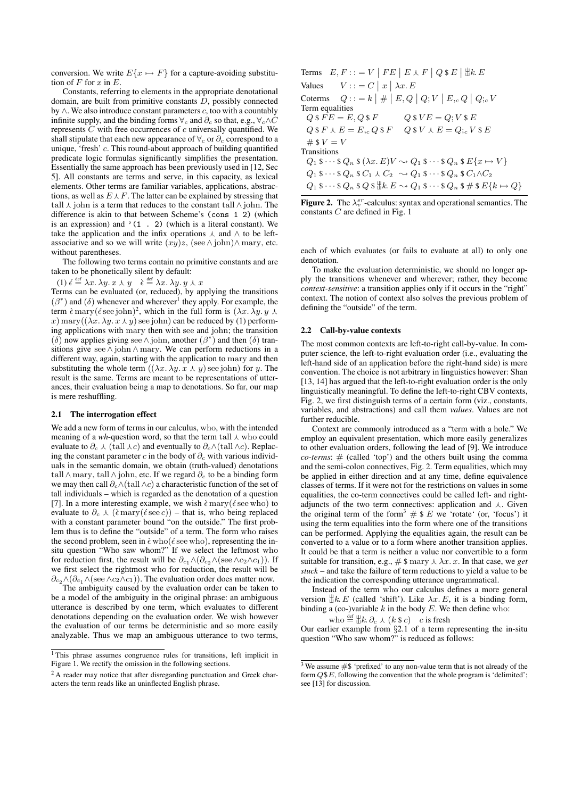conversion. We write  $E\{x \mapsto F\}$  for a capture-avoiding substitution of  $F$  for  $x$  in  $E$ .

Constants, referring to elements in the appropriate denotational domain, are built from primitive constants  $\overline{D}$ , possibly connected by  $\land$ . We also introduce constant parameters c, too with a countably infinite supply, and the binding forms  $\forall_c$  and  $\partial_c$  so that, e.g.,  $\forall_c \land C$ represents C with free occurrences of c universally quantified. We shall stipulate that each new appearance of  $\forall_c$  or  $\partial_c$  correspond to a unique, 'fresh' c. This round-about approach of building quantified predicate logic formulas significantly simplifies the presentation. Essentially the same approach has been previously used in [12, Sec 5]. All constants are terms and serve, in this capacity, as lexical elements. Other terms are familiar variables, applications, abstractions, as well as  $E\setminus F$ . The latter can be explained by stressing that tall  $\lambda$  john is a term that reduces to the constant tall  $\wedge$  john. The difference is akin to that between Scheme's (cons 1 2) (which is an expression) and  $(1 \cdot 2)$  (which is a literal constant). We take the application and the infix operations  $\lambda$  and  $\wedge$  to be leftassociative and so we will write  $(xy)z$ , (see ∧ john)∧ mary, etc. without parentheses.

The following two terms contain no primitive constants and are taken to be phonetically silent by default:

(1)  $\acute{\epsilon} \stackrel{\text{def}}{=} \lambda x. \lambda y. x \lambda y \quad \grave{\epsilon} \stackrel{\text{def}}{=} \lambda x. \lambda y. y \lambda x$ 

Terms can be evaluated (or, reduced), by applying the transitions  $(\beta^*)$  and  $(\delta)$  whenever and wherever<sup>1</sup> they apply. For example, the term  $\hat{\epsilon}$  mary( $\epsilon$  see john)<sup>2</sup>, which in the full form is  $(\lambda x. \lambda y. y \lambda)$ x) mary( $(\lambda x.\lambda y.x\lambda y)$  see john) can be reduced by (1) performing applications with mary then with see and john; the transition (δ) now applies giving see ∧ john, another ( $\beta$ <sup>\*</sup>) and then (δ) transitions give see∧ john∧ mary. We can perform reductions in a different way, again, starting with the application to mary and then substituting the whole term  $((\lambda x. \lambda y. x \lambda y)$  see john) for y. The result is the same. Terms are meant to be representations of utterances, their evaluation being a map to denotations. So far, our map is mere reshuffling.

### 2.1 The interrogation effect

We add a new form of terms in our calculus, who, with the intended meaning of a *wh*-question word, so that the term tall  $\lambda$  who could evaluate to  $\partial_c \wedge (\text{tall} \wedge c)$  and eventually to  $\partial_c \wedge (\text{tall} \wedge c)$ . Replacing the constant parameter c in the body of  $\partial_c$  with various individuals in the semantic domain, we obtain (truth-valued) denotations tall ∧ mary, tall ∧ john, etc. If we regard  $\partial_c$  to be a binding form we may then call  $\partial_c \wedge (\text{tall } \wedge c)$  a characteristic function of the set of tall individuals – which is regarded as the denotation of a question [7]. In a more interesting example, we wish  $\epsilon$  mary( $\epsilon$  see who) to evaluate to  $\partial_c \wedge (\tilde{\epsilon} \max(\epsilon \sec c))$  – that is, who being replaced with a constant parameter bound "on the outside." The first problem thus is to define the "outside" of a term. The form who raises the second problem, seen in  $\epsilon$  who( $\epsilon$  see who), representing the insitu question "Who saw whom?" If we select the leftmost who for reduction first, the result will be  $\partial_{c_1} \wedge (\partial_{c_2} \wedge (\sec \wedge c_2 \wedge c_1))$ . If we first select the rightmost who for reduction, the result will be  $\partial_{c_2} \wedge (\partial_{c_1} \wedge (\text{see } \wedge c_2 \wedge c_1)).$  The evaluation order does matter now.

The ambiguity caused by the evaluation order can be taken to be a model of the ambiguity in the original phrase: an ambiguous utterance is described by one term, which evaluates to different denotations depending on the evaluation order. We wish however the evaluation of our terms be deterministic and so more easily analyzable. Thus we map an ambiguous utterance to two terms,

Terms 
$$
E, F ::= V | FE | E \setminus F | Q \setminus E | \exists k E
$$
\n\nValues  $V ::= C | x | \lambda x. E$ \n\nCoterms  $Q ::= k | \# | E, Q | Q; V | E, c | Q | Q; c$ \n\nTerm equalities  $Q \setminus FE = E, Q \setminus F$   $Q \setminus V = Q; V \setminus E$ \n\n $Q \setminus F \setminus E = E, c | Q \setminus F$   $Q \setminus V \setminus E = Q; c | V \setminus E$ \n\n#  $\setminus V = V$ \n\nTransitions  $Q_1 \setminus \cdots \setminus Q_n \setminus (Ax, E) V \sim Q_1 \setminus \cdots \setminus Q_n \setminus E \setminus C_1 \sim Q_1 \setminus \cdots \setminus Q_n \setminus C_2 \sim Q_1 \setminus \cdots \setminus Q_n \setminus C_1 \wedge C_2$ \n\n $Q_1 \setminus \cdots \setminus Q_n \setminus Q \setminus \exists k E \sim Q_1 \setminus \cdots \setminus Q_n \setminus \exists k E \setminus \cdots \setminus Q_n \setminus \exists k E \rightarrow Q \}$ 

Figure 2. The  $\lambda_v^{sr}$ -calculus: syntax and operational semantics. The constants C are defined in Fig. 1

each of which evaluates (or fails to evaluate at all) to only one denotation.

To make the evaluation deterministic, we should no longer apply the transitions whenever and wherever; rather, they become *context-sensitive*: a transition applies only if it occurs in the "right" context. The notion of context also solves the previous problem of defining the "outside" of the term.

### 2.2 Call-by-value contexts

The most common contexts are left-to-right call-by-value. In computer science, the left-to-right evaluation order (i.e., evaluating the left-hand side of an application before the right-hand side) is mere convention. The choice is not arbitrary in linguistics however: Shan [13, 14] has argued that the left-to-right evaluation order is the only linguistically meaningful. To define the left-to-right CBV contexts, Fig. 2, we first distinguish terms of a certain form (viz., constants, variables, and abstractions) and call them *values*. Values are not further reducible.

Context are commonly introduced as a "term with a hole." We employ an equivalent presentation, which more easily generalizes to other evaluation orders, following the lead of [9]. We introduce *co-terms*:  $#$  (called 'top') and the others built using the comma and the semi-colon connectives, Fig. 2. Term equalities, which may be applied in either direction and at any time, define equivalence classes of terms. If it were not for the restrictions on values in some equalities, the co-term connectives could be called left- and rightadjuncts of the two term connectives: application and  $\lambda$ . Given the original term of the form<sup>3</sup>  $\#$  \$ E we 'rotate' (or, 'focus') it using the term equalities into the form where one of the transitions can be performed. Applying the equalities again, the result can be converted to a value or to a form where another transition applies. It could be that a term is neither a value nor convertible to a form suitable for transition, e.g.,  $\#$  \$ mary  $\lambda \lambda x$ . x. In that case, we *get stuck* – and take the failure of term reductions to yield a value to be the indication the corresponding utterance ungrammatical.

Instead of the term who our calculus defines a more general version  $\Vert k. E$  (called 'shift'). Like  $\lambda x. E$ , it is a binding form, binding a (co-)variable  $k$  in the body  $E$ . We then define who:

$$
\text{who} \stackrel{\text{def}}{=} \mathcal{H}k. \, \partial_c \wedge (k \, \text{\$ c)} \quad c \text{ is fresh}
$$

Our earlier example from  $\S 2.1$  of a term representing the in-situ question "Who saw whom?" is reduced as follows:

<sup>1</sup> This phrase assumes congruence rules for transitions, left implicit in Figure 1. We rectify the omission in the following sections.

<sup>&</sup>lt;sup>2</sup> A reader may notice that after disregarding punctuation and Greek characters the term reads like an uninflected English phrase.

 $3$  We assume  $#$ \$ 'prefixed' to any non-value term that is not already of the form  $Q$E$ , following the convention that the whole program is 'delimited'; see [13] for discussion.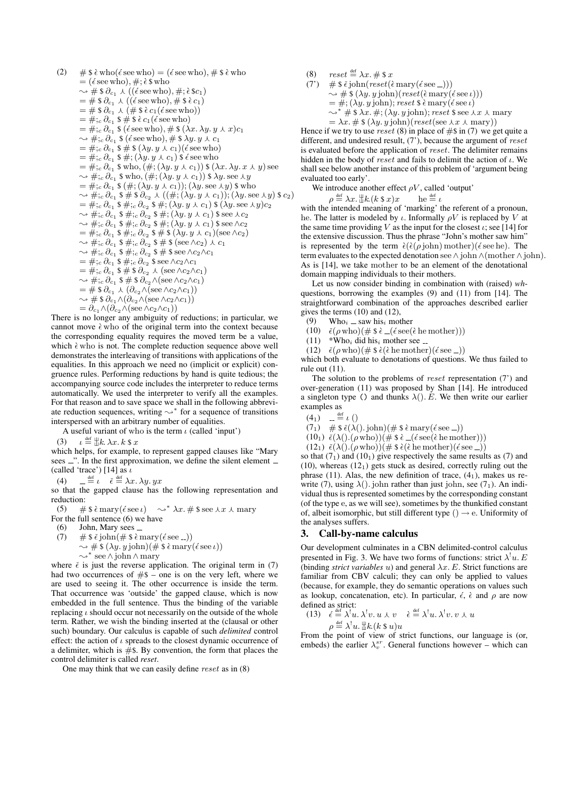(2) # \$è who(é see who) = (é see who), # \$è who  
\n= (é see who), #; è \$ who  
\n⇒ # \$ 
$$
\partial_{c_1} \wedge ((\acute{e} \sec who), \ddot{m}; \grave{e} \& c_1)
$$
  
\n= # \$  $\partial_{c_1} \wedge ((\acute{e} \sec who), \ddot{m}; \grave{e} \& c_1)$   
\n= # \$  $\partial_{c_1} \wedge (\acute{e} \sec who), \ddot{e} \& \grave{e} \& c_1$   
\n= # \$  $\partial_{c_1} \wedge (\acute{e} \sec who), \ddot{e} \& \grave{e} \& c_1$   
\n= #;  $c \partial_{c_1} \& \acute{e} \& \grave{e} \& c_1 (\acute{e} \sec who)$   
\n= #;  $c \partial_{c_1} \& \acute{e} \& \grave{e} \& (2 \times \& \grave{e} \& \grave{e} \& \grave{e} \& \grave{e} \& \grave{e} \& \grave{e} \& \grave{e} \& \grave{e} \& \grave{e} \& \grave{e} \& \grave{e} \& \grave{e} \& \grave{e} \& \grave{e} \& \grave{e} \& \grave{e} \& \grave{e} \& \grave{e} \& \grave{e} \& \grave{e} \& \grave{e} \& \grave{e} \& \grave{e} \& \grave{e} \& \grave{e} \& \grave{e} \& \grave{e} \& \grave{e} \& \grave{e} \& \grave{e} \& \grave{e} \& \grave{e} \& \grave{e} \& \grave{e} \& \grave{e} \& \grave{e} \& \grave{e} \& \grave{e} \& \grave{e} \& \grave{e} \& \grave{e} \& \grave{e} \& \grave{e} \& \grave{e} \& \grave{e} \& \grave{e} \& \grave{e} \& \grave{e}$ 

There is no longer any ambiguity of reductions; in particular, we cannot move  $\grave{\epsilon}$  who of the original term into the context because the corresponding equality requires the moved term be a value, which  $\hat{\epsilon}$  who is not. The complete reduction sequence above well demonstrates the interleaving of transitions with applications of the equalities. In this approach we need no (implicit or explicit) congruence rules. Performing reductions by hand is quite tedious; the accompanying source code includes the interpreter to reduce terms automatically. We used the interpreter to verify all the examples. For that reason and to save space we shall in the following abbreviate reduction sequences, writing  $\rightsquigarrow^*$  for a sequence of transitions interspersed with an arbitrary number of equalities.

A useful variant of who is the term  $\iota$  (called 'input')

 $\iota \stackrel{\text{def}}{=} \frac{1}{10}k$ .  $\lambda x. k$  \$ x  $(3)$ 

which helps, for example, to represent gapped clauses like "Mary sees \_". In the first approximation, we define the silent element \_ (called 'trace') [14] as  $\iota$ 

 $=\stackrel{\text{def}}{=} \iota \quad \check{\epsilon} \stackrel{\text{def}}{=} \lambda x. \lambda y. yx$  $(4)$ 

so that the gapped clause has the following representation and reduction:

#  $\frac{2}{3}$   $\frac{2}{3}$   $\frac{2}{3}$   $\frac{2}{3}$   $\frac{2}{3}$   $\frac{2}{3}$   $\frac{2}{3}$   $\frac{2}{3}$   $\frac{2}{3}$   $\frac{2}{3}$   $\frac{2}{3}$   $\frac{2}{3}$   $\frac{2}{3}$   $\frac{2}{3}$   $\frac{2}{3}$   $\frac{2}{3}$   $\frac{2}{3}$   $\frac{2}{3}$   $\frac{2}{3}$   $\frac{2}{3}$   $\frac{2}{3}$   $\frac{2}{3}$  $(5)$ 

For the full sentence  $(6)$  we have

- $(6)$ John, Mary sees \_
- $(7)$ #  $\sinh(\# \sinh(\# \sinh(\theta))$  $\rightsquigarrow \# \$ ( $\lambda y. y$  john)( $\# \$ )  $\epsilon$  mary( $\epsilon$  see  $\iota$ ))  $\rightsquigarrow^*$  see  $\wedge$  john  $\wedge$  mary

where  $\check{\epsilon}$  is just the reverse application. The original term in (7) had two occurrences of  $#$ \$ – one is on the very left, where we are used to seeing it. The other occurrence is inside the term. That occurrence was 'outside' the gapped clause, which is now embedded in the full sentence. Thus the binding of the variable replacing  $\iota$  should occur not necessarily on the outside of the whole term. Rather, we wish the binding inserted at the (clausal or other such) boundary. Our calculus is capable of such *delimited* control effect: the action of  $\iota$  spreads to the closest dynamic occurrence of a delimiter, which is  $#$ \$. By convention, the form that places the control delimiter is called reset.

One may think that we can easily define  $reset$  as in  $(8)$ 

- $(8)$  $reset \stackrel{\text{def}}{=} \lambda x. \# $x$
- (7)  $\#\$  \$  $\check{\epsilon}$  john(reset( $\check{\epsilon}$  mary( $\check{\epsilon}$  see \_)))  $\rightsquigarrow \# \$ ( $\lambda y. y$ john)(reset( $\epsilon$ mary( $\epsilon$ see $\iota$ )))  $=$  #; ( $\lambda y. y$  john); reset \$  $\epsilon$  mary( $\epsilon$  see  $\iota$ )
	- $\rightsquigarrow^*$  # \$  $\lambda x.$  #; ( $\lambda y.$  y john); reset \$ see  $\lambda x \lambda$  mary
	- $= \lambda x. \# $ (\lambda y. y. \text{pi}) (reset (see \lambda x. \text{mary}))$

Hence if we try to use reset (8) in place of #\$ in (7) we get quite a different, and undesired result,  $(7)$ , because the argument of reset is evaluated before the application of reset. The delimiter remains hidden in the body of reset and fails to delimit the action of  $\iota$ . We shall see below another instance of this problem of 'argument being evaluated too early'.

We introduce another effect  $\rho V$ , called 'output'

$$
\rho \stackrel{\text{def}}{=} \lambda x. \mathop{\perp\!\!\!\!\perp}^{\text{def}} k(k \mathbin{\$} x) x \qquad \text{he} \stackrel{\text{def}}{=} \ell
$$

with the intended meaning of 'marking' the referent of a pronoun, he. The latter is modeled by  $\iota$ . Informally  $\rho V$  is replaced by V at the same time providing V as the input for the closest  $\iota$ ; see [14] for the extensive discussion. Thus the phrase "John's mother saw him" is represented by the term  $\hat{\epsilon}(\hat{\epsilon}(\rho \text{ John}) \text{ mother})(\hat{\epsilon} \text{ see he}).$  The term evaluates to the expected denotation see  $\wedge$  john  $\wedge$  (mother  $\wedge$  john). As is [14], we take mother to be an element of the denotational domain mapping individuals to their mothers.

Let us now consider binding in combination with (raised)  $wh$ questions, borrowing the examples (9) and (11) from [14]. The straightforward combination of the approaches described earlier gives the terms  $(10)$  and  $(12)$ ,

- $Who_i$  = saw his<sub>i</sub> mother  $(9)$
- (10)  $\check{\epsilon}(\rho \text{ who})(\# \text{ $}\& \angle(\acute{\epsilon} \text{ see}(\grave{\epsilon} \text{ he mother})))$
- $(11)$ \*Who<sub>i</sub> did his<sub>i</sub> mother see  $\overline{\phantom{a}}$
- (12)  $\check{\epsilon}(\rho \text{ who})(\# \hat{\epsilon}(\grave{\epsilon} \text{ he mother})(\acute{\epsilon} \text{ see } \underline{\hspace{0.5cm}}))$

which both evaluate to denotations of questions. We thus failed to rule out  $(11)$ .

The solution to the problems of *reset* representation  $(7')$  and over-generation (11) was proposed by Shan [14]. He introduced a singleton type () and thunks  $\lambda$ (). E. We then write our earlier examples as

- $(4_1)$   $=$   $\stackrel{\text{def}}{=}$   $\iota$  ()
- $(7_1)$  #  $\frac{2}{5} \check{\epsilon}(\lambda)$ . john)(#  $\frac{2}{5} \check{\epsilon}$  mary( $\acute{\epsilon}$  see \_))
- $(10_1) \; \check{\epsilon}(\lambda).(\rho \, \text{who}))(\# \; \& \; \check{\epsilon} \; \text{__}(\check{\epsilon} \, \text{see}(\check{\epsilon} \, \text{he} \, \text{mother})))$
- $(12_1) \; \check{\epsilon}(\lambda).(\rho \, \text{who}) (\# \; \hat{\epsilon}(\grave{\epsilon} \text{ he mother})(\acute{\epsilon} \text{ see } \_))$

so that  $(7<sub>1</sub>)$  and  $(10<sub>1</sub>)$  give respectively the same results as  $(7)$  and  $(10)$ , whereas  $(12<sub>1</sub>)$  gets stuck as desired, correctly ruling out the phrase (11). Alas, the new definition of trace,  $(4<sub>1</sub>)$ , makes us rewrite (7), using  $\lambda$ (). john rather than just john, see (71). An individual thus is represented sometimes by the corresponding constant (of the type e, as we will see), sometimes by the thunkified constant of, albeit isomorphic, but still different type ()  $\rightarrow$  e. Uniformity of the analyses suffers.

#### 3. **Call-by-name calculus**

Our development culminates in a CBN delimited-control calculus presented in Fig. 3. We have two forms of functions: strict  $\lambda^{\dagger} u$ . E (binding *strict variables u*) and general  $\lambda x$ . E. Strict functions are familiar from CBV calculi; they can only be applied to values (because, for example, they do semantic operations on values such as lookup, concatenation, etc). In particular,  $\epsilon$ ,  $\epsilon$  and  $\rho$  are now defined as strict:

13) 
$$
\epsilon \stackrel{\text{def}}{=} \lambda^1 u. \lambda^1 v. u \lambda v \quad \epsilon \stackrel{\text{def}}{=} \lambda^1 u. \lambda^1 v. v \lambda u
$$
  
 $\rho \stackrel{\text{def}}{=} \lambda^1 u. \parallel k. (k \ \$ u) u$ 

From the point of view of strict functions, our language is (or, embeds) the earlier  $\lambda_v^{sr}$ . General functions however – which can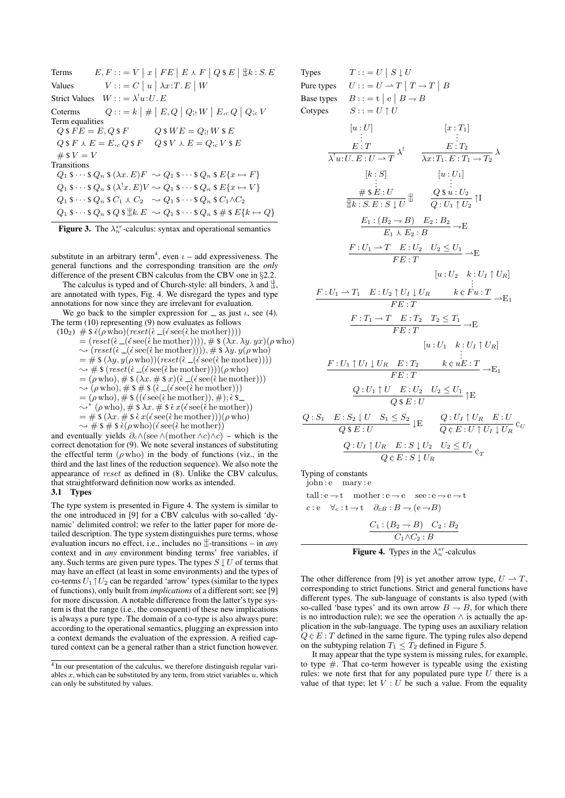Terms  $E, F ::= V \mid x \mid FE \mid E \wedge F \mid Q \$  E \mid \exists k : S. E Values  $V ::= C \mid u \mid \lambda x : T \in W$ Strict Values  $W ::= \lambda^1 u: U. E$ Coterms  $Q ::= k \mid # \mid E, Q \mid Q; W \mid E, c \mid Q; c \mid V$ Term equalities  $Q \$   $FE = E$ ,  $Q \$   $F$   $Q \$   $W$   $E = Q$ ;  $W \$   $E$  $Q$  \$  $F \wedge E = E_{,c} Q$  \$  $F \quad Q$  \$  $V \wedge E = Q_{,c} V$  \$  $E$  $#$  \$  $V = V$ **Transitions**  $Q_1$  \$  $\cdots$  \$  $Q_n$  \$  $(\lambda x. E)F \sim Q_1$  \$  $\cdots$  \$  $Q_n$  \$  $E\{x \mapsto F\}$  $Q_1$  \$  $\cdots$  \$  $Q_n$  \$  $(\lambda^!x, E)V \sim Q_1$  \$  $\cdots$  \$  $Q_n$  \$  $E\{x \mapsto V\}$  $Q_1$  \$  $\cdots$  \$  $Q_n$  \$  $C_1 \wedge C_2$   $\sim Q_1$  \$  $\cdots$  \$  $Q_n$  \$  $C_1 \wedge C_2$  $Q_1$  \$  $\cdots$  \$  $Q_n$  \$  $Q$  \$  $\sharp k. E \sim Q_1$  \$  $\cdots$  \$  $Q_n$  \$  $\sharp$  \$  $E\{k \mapsto Q\}$ 



substitute in an arbitrary term<sup>4</sup>, even  $\iota$  – add expressiveness. The general functions and the corresponding transition are the *only* difference of the present CBN calculus from the CBV one in §2.2.

The calculus is typed and of Church-style: all binders,  $\lambda$  and  $\frac{11}{11}$ , are annotated with types, Fig. 4. We disregard the types and type annotations for now since they are irrelevant for evaluation.

We go back to the simpler expression for  $\equiv$  as just  $\iota$ , see (4). The term (10) representing (9) now evaluates as follows

$$
(10_2) \# \$ \tilde{\epsilon}(\rho \text{ who})(reset(\tilde{\epsilon} _{-(\epsilon \text{see}(\tilde{\epsilon} \text{he} \text{ mother}))))= (reset(\tilde{\epsilon} _{-(\epsilon \text{see}(\tilde{\epsilon} \text{he} \text{ mother})))), # \$ \langle \lambda x. \lambda y. yx \rangle (\rho \text{ who})\sim (reset(\tilde{\epsilon} _{-(\epsilon \text{see}(\tilde{\epsilon} \text{he} \text{ mother})))), # \$ \lambda y. y(\rho \text{ who})= # \$ (\lambda y. y(\rho \text{ who})) (reset(\tilde{\epsilon} _{-(\epsilon \text{see}(\tilde{\epsilon} \text{he} \text{ mother}))))\sim # \$ (reset(\tilde{\epsilon} _{-(\epsilon \text{see}(\tilde{\epsilon} \text{he} \text{ mother}))))(\rho \text{ who})= (\rho \text{ who}), # \$ (\lambda x. # \$ x)(\tilde{\epsilon} _{-(\epsilon \text{see}(\tilde{\epsilon} \text{he} \text{ mother})))\sim (\rho \text{ who}), # \$ * \$ (\tilde{\epsilon} _{-(\epsilon \text{see}(\tilde{\epsilon} \text{he} \text{ mother})))= (\rho \text{ who}), # \$ \langle (\tilde{\epsilon} \text{see}(\tilde{\epsilon} \text{he} \text{ mother})), #); \tilde{\epsilon} \text{ s}\rangle\sim * (\rho \text{ who}), # \$ \lambda x. # \$ \tilde{\epsilon} x(\epsilon \text{see}(\tilde{\epsilon} \text{he} \text{ mother}))= # \$ (\lambda x. # \$ \tilde{\epsilon} x(\epsilon \text{see}(\tilde{\epsilon} \text{he} \text{mother})))(\rho \text{ who})\sim # \$ * \$ \tilde{\epsilon} (\rho \text{ who})(\epsilon \text{see}(\tilde{\epsilon} \text{he} \text{mother})and eventually yields  $\partial_c \wedge (\text{see} \wedge (\text{mother} \wedge c) \wedge c) - \text{which is the}$
$$

correct denotation for (9). We note several instances of substituting the effectful term  $(\rho \text{ who})$  in the body of functions (viz., in the third and the last lines of the reduction sequence). We also note the appearance of reset as defined in (8). Unlike the CBV calculus, that straightforward definition now works as intended.

### 3.1 Types

The type system is presented in Figure 4. The system is similar to the one introduced in [9] for a CBV calculus with so-called 'dynamic' delimited control; we refer to the latter paper for more detailed description. The type system distinguishes pure terms, whose evaluation incurs no effect, i.e., includes no  $\frac{11}{4}$ -transitions – in *any* context and in *any* environment binding terms' free variables, if any. Such terms are given pure types. The types  $S \downarrow U$  of terms that may have an effect (at least in some environments) and the types of co-terms  $U_1 \uparrow U_2$  can be regarded 'arrow' types (similar to the types of functions), only built from *implications* of a different sort; see [9] for more discussion. A notable difference from the latter's type system is that the range (i.e., the consequent) of these new implications is always a pure type. The domain of a co-type is also always pure: according to the operational semantics, plugging an expression into a context demands the evaluation of the expression. A reified captured context can be a general rather than a strict function however.

Types  $T :: = U \mid S \downarrow U$ Pure types  $U$ :: =  $U \rightarrow T | T \rightarrow T | B$ Base types  $|e|B \rightarrow B$ Cotypes  $S := U \uparrow U$  $\begin{aligned} [u:U] \ \vdots \ \overline{E:T} \ \overline{\lambda^1 u:U.E:U\to T} \ \lambda^1 \end{aligned}$  $[x : T_1]$ <br>  $E : T_2$ <br>  $\overline{\lambda x : T_1 \cdot E : T_1 \rightarrow T_2}$  $[k:S]$ <br>  $\qquad \qquad \stackrel{\cdot}{\#} \S E : U$ <br>  $\qquadexists k : S. E : S \downarrow U$  $[u:U_1]$ <br>  $\vdots$ <br>  $Q \$ u:U_2$ <br>  $\overline{Q:U_1 \uparrow U_2}$   $\uparrow \text{I}$  $\frac{E_1 : (B_2 \to B) \quad E_2 : B_2}{E_1 \land E_2 : B} \to E$  $\frac{F:U_1 \to T \quad E:U_2 \quad U_2 \leq U_1}{FE:T} \to E$  $F: U_1 \longrightarrow T_1$   $E: U_2 \uparrow U_I \downarrow U_R$  $[u:U_2 \quad k:U_I \uparrow U_R]$  $\frac{\vdots}{\begin{array}{cc} k \in F u : T \end{array}} E_1 \rightarrow E_1$  $\frac{F: T_1 \to T \quad E: T_2 \quad T_2 \leq T_1}{FE: T} \to E$  $F: U_1 \uparrow U_I \downarrow U_R$   $E: T_2$  $[u:U_1 \quad k:U_I \uparrow U_R]$  $\frac{E:T_2}{FE:T} \xrightarrow{k \in uE:T} \rightarrow E_1$  $\frac{Q:U_1\uparrow U \quad E:U_2 \quad U_2 \leq U_1}{Q\$\&E:U} \uparrow E$  $Q : S_1 \quad E : S_2 \downarrow U \quad S_1 \leq S_2$ <br> $Q \$  E : U  $Q:U_I\uparrow U_R$   $E:U$  $Q \in E: U \uparrow U_I \downarrow U_R$ <sup>C</sup>  $Q: U_I \uparrow U_R$   $E: S \downarrow U_2$   $U_2 \leq U_I$  $Q \in E : S \downarrow U_R$ Typing of constants ...<br>john : e mary : e

$$
100 \text{ m} \cdot \text{m} \cdot \text{m}
$$

tall :  $e \rightarrow t$  mother :  $e \rightarrow e$  see :  $e \rightarrow e \rightarrow t$ c: e  $\forall c : t \rightarrow t \quad \partial_{c} B : B \rightarrow (e \rightarrow B)$ 

$$
\frac{C_1:(B_2 \rightarrow B) \quad C_2:B_2}{C_1 \wedge C_2:B}
$$

Figure 4. Types in the  $\lambda_n^{sr}$ -calculus

The other difference from [9] is yet another arrow type,  $U \rightarrow T$ , corresponding to strict functions. Strict and general functions have different types. The sub-language of constants is also typed (with so-called 'base types' and its own arrow  $B \to B$ , for which there is no introduction rule); we see the operation  $\land$  is actually the application in the sub-language. The typing uses an auxiliary relation  $Q \not\subset E$ : T defined in the same figure. The typing rules also depend on the subtyping relation  $T_1 \leq T_2$  defined in Figure 5.

It may appear that the type system is missing rules, for example, to type  $#$ . That co-term however is typeable using the existing rules: we note first that for any populated pure type  $U$  there is a value of that type; let  $V: U$  be such a value. From the equality

<sup>&</sup>lt;sup>4</sup> In our presentation of the calculus, we therefore distinguish regular variables  $x$ , which can be substituted by any term, from strict variables  $u$ , which can only be substituted by values.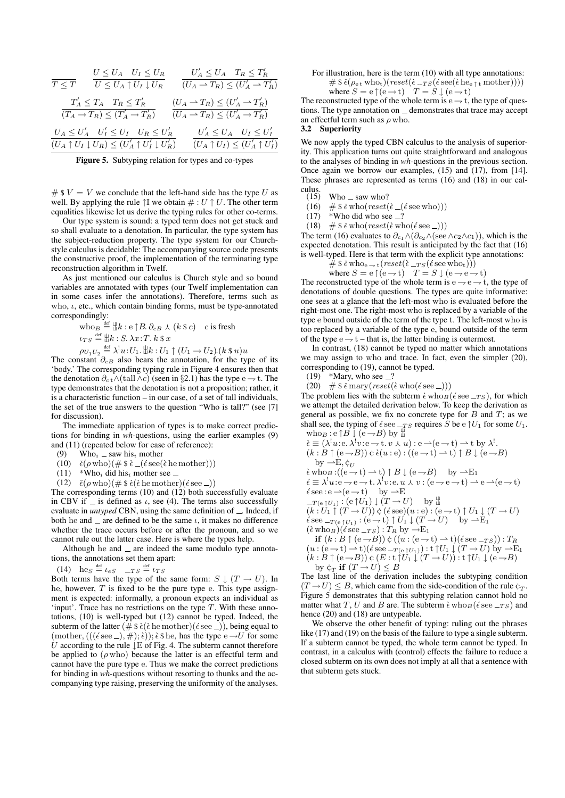$$
\begin{array}{lll} \hline & U \leq U_A & U_I \leq U_R & U'_A \leq U_A & T_R \leq T'_R \\ \hline T \leq T & U \leq U_A \uparrow U_I \downarrow U_R & (U_A \rightarrow T_R) \leq (U'_A \rightarrow T'_R) \\ & & (T_A \rightarrow T_R) \leq (T'_A \rightarrow T'_R) & (U_A \rightarrow T_R) \leq (U'_A \rightarrow T'_R) \\ & & (U_A \leq U'_A \rightarrow T_R) \leq (T'_A \rightarrow T'_R) & (U_A \rightarrow T_R) \leq (U'_A \rightarrow T'_R) \\ & & (U_A \uparrow U_I \downarrow U_R) \leq (U'_A \uparrow U'_I \downarrow U'_R) & (U_A \uparrow U_I) \leq (U'_A \uparrow U'_I) \\ \hline \end{array}
$$

Figure 5. Subtyping relation for types and co-types

#  $V = V$  we conclude that the left-hand side has the type U as well. By applying the rule  $\uparrow$ I we obtain  $\# : U \uparrow U$ . The other term equalities likewise let us derive the typing rules for other co-terms.

Our type system is sound: a typed term does not get stuck and so shall evaluate to a denotation. In particular, the type system has the subject-reduction property. The type system for our Churchstyle calculus is decidable: The accompanying source code presents the constructive proof, the implementation of the terminating type reconstruction algorithm in Twelf.

As just mentioned our calculus is Church style and so bound variables are annotated with types (our Twelf implementation can in some cases infer the annotations). Therefore, terms such as who,  $\iota$ , etc., which contain binding forms, must be type-annotated correspondingly:

$$
\begin{aligned}\n\text{who}_B &\stackrel{\text{def}}{=} \mathcal{L} \, \mathcal{L} : \mathcal{L} \uparrow B. \, \partial_{c} \, B \, \lambda \, (k \, \mathsf{S} \, c) \quad c \text{ is fresh} \\
\iota_{TS} &\stackrel{\text{def}}{=} \mathcal{L} : S. \, \lambda x : T. \, k \, \mathsf{S} \, x \\
\rho_{U_1 U_2} &\stackrel{\text{def}}{=} \lambda^1 u : U_1. \, \mathcal{L} \, \mathcal{L} : U_1 \uparrow (U_1 \rightarrow U_2). (k \, \mathsf{S} \, u) u\n\end{aligned}
$$

The constant  $\partial_{c}B$  also bears the annotation, for the type of its 'body.' The corresponding typing rule in Figure 4 ensures then that the denotation  $\partial_{c} t \wedge (tall \wedge c)$  (seen in §2.1) has the type e  $\rightarrow$  t. The type demonstrates that the denotation is not a proposition; rather, it is a characteristic function – in our case, of a set of tall individuals, the set of the true answers to the question "Who is tall?" (see [7] for discussion).

The immediate application of types is to make correct predictions for binding in *wh*-questions, using the earlier examples (9) and (11) (repeated below for ease of reference):

- (9) Who<sub>i</sub>  $\equiv$  saw his<sub>i</sub> mother
- (10)  $\check{\epsilon}(\rho \text{ who})(\# \text{ $}\&=(\acute{\epsilon} \text{ see}(\grave{\epsilon} \text{ he mother})))$
- $(11)$  \*Who<sub>i</sub> did his<sub>i</sub> mother see  $\equiv$
- (12)  $\check{\epsilon}(\rho \text{ who})(\# \hat{\epsilon}(\grave{\epsilon} \text{ he mother})(\acute{\epsilon} \text{ see } \underline{\hspace{0.2cm}}))$

The corresponding terms  $(10)$  and  $(12)$  both successfully evaluate in CBV if  $\equiv$  is defined as  $\iota$ , see (4). The terms also successfully evaluate in *untyped* CBN, using the same definition of  $\Box$ . Indeed, if both he and  $\equiv$  are defined to be the same  $\iota$ , it makes no difference whether the trace occurs before or after the pronoun, and so we cannot rule out the latter case. Here is where the types help.

Although he and  $\equiv$  are indeed the same modulo type annotations, the annotations set them apart:

(14) 
$$
\text{he}_S \stackrel{\text{def}}{=} \iota_{eS} \quad -TS \stackrel{\text{def}}{=} \iota_{TS}
$$

Both terms have the type of the same form:  $S \downarrow (T \rightarrow U)$ . In he, however,  $T$  is fixed to be the pure type e. This type assignment is expected: informally, a pronoun expects an individual as 'input'. Trace has no restrictions on the type  $T$ . With these annotations, (10) is well-typed but (12) cannot be typed. Indeed, the subterm of the latter  $(\# \$ \dot{\epsilon}(\dot{\epsilon} \text{ he mother})(\dot{\epsilon} \text{ see } \_)),$  being equal to (mother,  $(((\acute{e} \text{ see } \_), \#); \grave{e})$ );  $\grave{e}$  \$ he, has the type  $\acute{e} \rightarrow U$  for some U according to the rule  $\downarrow$  E of Fig. 4. The subterm cannot therefore be applied to  $(\rho \text{ who})$  because the latter is an effectful term and cannot have the pure type e. Thus we make the correct predictions for binding in *wh*-questions without resorting to thunks and the accompanying type raising, preserving the uniformity of the analyses.

For illustration, here is the term (10) with all type annotations: #  $\frac{2}{\pi}$   $\check{\epsilon}(\rho_{e^{\frac{t}{\kappa}}}$  who<sub>t</sub> $)(\text{reset}(\hat{\epsilon} - \text{TS}(\hat{\epsilon} \text{ see}(\hat{\epsilon} \text{ he}_{e^{\frac{t}{\kappa}}} \text{ mother}))))$ where  $S = e \uparrow (e \rightarrow t)$   $T = S \downarrow (e \rightarrow t)$ 

The reconstructed type of the whole term is  $e \rightarrow t$ , the type of questions. The type annotation on  $\equiv$  demonstrates that trace may accept an effectful term such as  $\rho$  who.

### 3.2 Superiority

We now apply the typed CBN calculus to the analysis of superiority. This application turns out quite straightforward and analogous to the analyses of binding in *wh*-questions in the previous section. Once again we borrow our examples, (15) and (17), from [14]. These phrases are represented as terms (16) and (18) in our cal-

- culus.<br> $(15)$  $W$ ho  $\equiv$  saw who?
	- (16)  $\#\$  \$  $\check{\epsilon}$  who(*reset*( $\hat{\epsilon}$  ( $\check{\epsilon}$  see who)))
	- $(17)$  \*Who did who see  $-?$
- (18)  $\#\$  \$  $\check{\epsilon}$  who $(reset(\grave{\epsilon}$  who $(\acute{\epsilon}$  see  $_{\perp}))$

The term (16) evaluates to  $\partial_{c_1} \wedge (\partial_{c_2} \wedge (\see \wedge c_2 \wedge c_1))$ , which is the expected denotation. This result is anticipated by the fact that (16) is well-typed. Here is that term with the explicit type annotations:

$$
\hat{\#} \hat{\ast} \check{\epsilon} \text{ who}_{e \to t} (reset(\hat{\epsilon}_{-TS}(\acute{\epsilon} \text{see who}_{t})))
$$
  
where  $S = e \upharpoonright (e \to t)$   $T = S \downarrow (e \to e \to t)$ 

The reconstructed type of the whole term is  $e \rightarrow e \rightarrow t$ , the type of denotations of double questions. The types are quite informative: one sees at a glance that the left-most who is evaluated before the right-most one. The right-most who is replaced by a variable of the type e bound outside of the term of the type t. The left-most who is too replaced by a variable of the type e, bound outside of the term of the type  $e \rightarrow t$  – that is, the latter binding is outermost.

In contrast, (18) cannot be typed no matter which annotations we may assign to who and trace. In fact, even the simpler (20), corresponding to (19), cannot be typed.

 $(19)$  \*Mary, who see  $-$ ?

(20)  $\#\$   $\check{\epsilon}$  mary( $reset(\check{\epsilon}$  who( $\check{\epsilon}$  see  $\_)$ ))

The problem lies with the subterm  $\epsilon$  who $\epsilon$  ( $\epsilon$  see  $-rs$ ), for which we attempt the detailed derivation below. To keep the derivation as general as possible, we fix no concrete type for  $B$  and  $T$ ; as we shall see, the typing of  $\epsilon$  see  $_{-TS}$  requires S be e  $\uparrow U_1$  for some  $U_1$ . who<sub>B</sub>: e  $\uparrow B \downarrow (e \rightarrow B)$  by  $\downarrow$ 

$$
\begin{array}{ll}\n\dot{\epsilon} \equiv (\lambda^! u : e. \lambda^! v : e \to t. v \star u) : e \to (e \to t) \to t \text{ by } \lambda^!.\n\\
(k : B \uparrow (e \to B)) \; \dot{\varphi} \; \dot{\epsilon}(u : e) : ((e \to t) \to t) \uparrow B \downarrow (e \to B) \\
\text{by } \to \to \, \dot{\zeta}_U \\
\dot{\epsilon} \equiv \lambda^! u : e \to e \to t. \lambda^! v : e. u \star v : (e \to e \to t) \to e \to (e \to t) \\
\dot{\epsilon} \equiv e \to (e \to t) \quad \text{by } \to \to \text{E} \\
\text{see } : e \to (e \to t) \quad \text{by } \to \text{E} \\
\text{and} \\
(k : U_1 \uparrow (T \to U)) \; \dot{\varphi} \; (\dot{\epsilon} \equiv e) : (e \to t) \uparrow U_1 \downarrow (T \to U) \\
\dot{\epsilon} \equiv e \to (e \to t) \uparrow U_1 \downarrow (T \to U) \quad \text{by } \bot \\
(\dot{\epsilon} \equiv v \to t) \uparrow (e \to t) \uparrow U_1 \downarrow (T \to U) \quad \text{by } \to \text{E} \\
(\dot{\epsilon} \equiv v \to e \to t) \uparrow (e \to t) \uparrow U_1 \downarrow (T \to U) \quad \text{by } \to \text{E} \\
(\dot{\epsilon} \equiv v \to e \to t) \downarrow (e \to t) \uparrow (e \to t) \to (e \to e \to e \to t) \\
\text{if } (k : B \uparrow (e \to B)) \; \dot{\varphi} \; ((u : (e \to t) \to t) (\dot{\epsilon} \equiv e \to x) : \top T_R \\
(u : (e \to t) \to t) (\dot{\epsilon} \equiv e \to (e \to t) \to t) \downarrow (T \to U) \text{ by } \to \text{E} \\
(k : B \uparrow (e \to B)) \; \dot{\varphi} \; (E \to t) \downarrow (T \to U) : t \uparrow U_1 \downarrow (e \to B) \\
(k : B \uparrow (e \to B)) \; \dot{\varphi} \; (E \to t) \downarrow (T \to U) \text{ by } \bot \text{E} \\
\text{and} \\
(k : B \uparrow (e \to B)) \; \dot{\varphi} \;
$$

by  $\varphi_T$  if  $(T \to U) \leq B$ The last line of the derivation includes the subtyping condition  $(T \to U) \leq B$ , which came from the side-condition of the rule  $\zeta_T$ . Figure 5 demonstrates that this subtyping relation cannot hold no matter what T, U and B are. The subterm  $\epsilon$  who $_B$ ( $\epsilon$  see  $_{-TS}$ ) and hence (20) and (18) are untypeable.

We observe the other benefit of typing: ruling out the phrases like (17) and (19) on the basis of the failure to type a single subterm. If a subterm cannot be typed, the whole term cannot be typed. In contrast, in a calculus with (control) effects the failure to reduce a closed subterm on its own does not imply at all that a sentence with that subterm gets stuck.